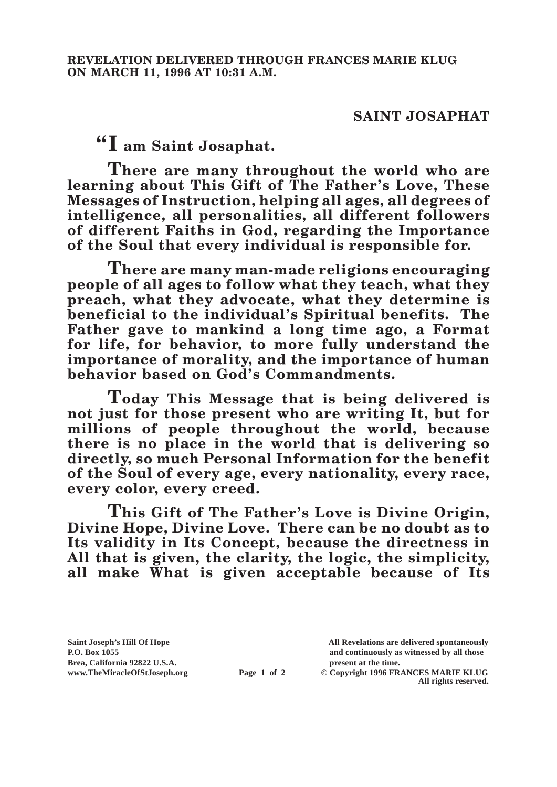## **SAINT JOSAPHAT**

**"I am Saint Josaphat.**

**There are many throughout the world who are learning about This Gift of The Father's Love, These Messages of Instruction, helping all ages, all degrees of intelligence, all personalities, all different followers of different Faiths in God, regarding the Importance of the Soul that every individual is responsible for.**

**There are many man-made religions encouraging people of all ages to follow what they teach, what they preach, what they advocate, what they determine is beneficial to the individual's Spiritual benefits. The Father gave to mankind a long time ago, a Format for life, for behavior, to more fully understand the importance of morality, and the importance of human behavior based on God's Commandments.**

**Today This Message that is being delivered is not just for those present who are writing It, but for millions of people throughout the world, because there is no place in the world that is delivering so directly, so much Personal Information for the benefit of the Soul of every age, every nationality, every race, every color, every creed.**

**This Gift of The Father's Love is Divine Origin, Divine Hope, Divine Love. There can be no doubt as to Its validity in Its Concept, because the directness in All that is given, the clarity, the logic, the simplicity, all make What is given acceptable because of Its** 

**Saint Joseph's Hill Of Hope All Revelations are delivered spontaneously P.O. Box 1055 and continuously as witnessed by all those Brea, California 92822 U.S.A. present at the time.**<br> **present at the time.**<br> **present at the time.**<br> **Page 1 of 2** © Copyright 1996 FR.

**Page 1 of 2** © Copyright 1996 FRANCES MARIE KLUG **All rights reserved.**